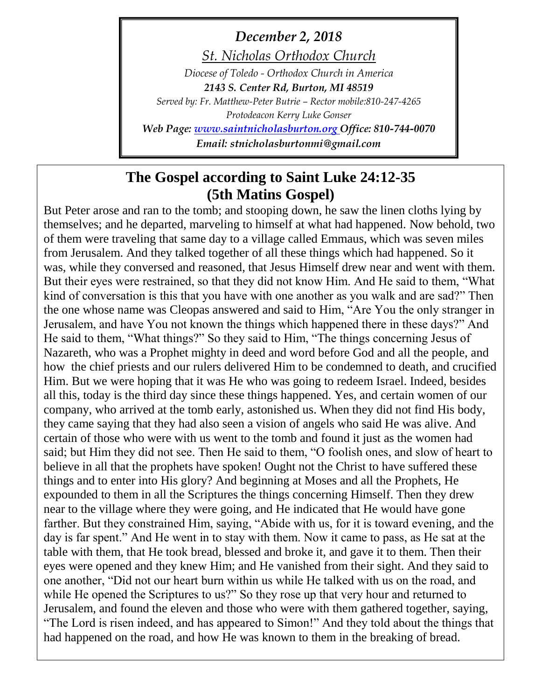*December 2, 2018*

*St. Nicholas Orthodox Church*

*Diocese of Toledo - Orthodox Church in America 2143 S. Center Rd, Burton, MI 48519 Served by: Fr. Matthew-Peter Butrie – Rector mobile:810-247-4265 Protodeacon Kerry Luke Gonser Web Page: [www.saintnicholasburton.org](http://www.saintnicholasburton.org/) Office: 810-744-0070*

*Email: stnicholasburtonmi@gmail.com*

# **The Gospel according to Saint Luke 24:12-35 (5th Matins Gospel)**

But Peter arose and ran to the tomb; and stooping down, he saw the linen cloths lying by themselves; and he departed, marveling to himself at what had happened. Now behold, two of them were traveling that same day to a village called Emmaus, which was seven miles from Jerusalem. And they talked together of all these things which had happened. So it was, while they conversed and reasoned, that Jesus Himself drew near and went with them. But their eyes were restrained, so that they did not know Him. And He said to them, "What kind of conversation is this that you have with one another as you walk and are sad?" Then the one whose name was Cleopas answered and said to Him, "Are You the only stranger in Jerusalem, and have You not known the things which happened there in these days?" And He said to them, "What things?" So they said to Him, "The things concerning Jesus of Nazareth, who was a Prophet mighty in deed and word before God and all the people, and how the chief priests and our rulers delivered Him to be condemned to death, and crucified Him. But we were hoping that it was He who was going to redeem Israel. Indeed, besides all this, today is the third day since these things happened. Yes, and certain women of our company, who arrived at the tomb early, astonished us. When they did not find His body, they came saying that they had also seen a vision of angels who said He was alive. And certain of those who were with us went to the tomb and found it just as the women had said; but Him they did not see. Then He said to them, "O foolish ones, and slow of heart to believe in all that the prophets have spoken! Ought not the Christ to have suffered these things and to enter into His glory? And beginning at Moses and all the Prophets, He expounded to them in all the Scriptures the things concerning Himself. Then they drew near to the village where they were going, and He indicated that He would have gone farther. But they constrained Him, saying, "Abide with us, for it is toward evening, and the day is far spent." And He went in to stay with them. Now it came to pass, as He sat at the table with them, that He took bread, blessed and broke it, and gave it to them. Then their eyes were opened and they knew Him; and He vanished from their sight. And they said to one another, "Did not our heart burn within us while He talked with us on the road, and while He opened the Scriptures to us?" So they rose up that very hour and returned to Jerusalem, and found the eleven and those who were with them gathered together, saying, "The Lord is risen indeed, and has appeared to Simon!" And they told about the things that had happened on the road, and how He was known to them in the breaking of bread.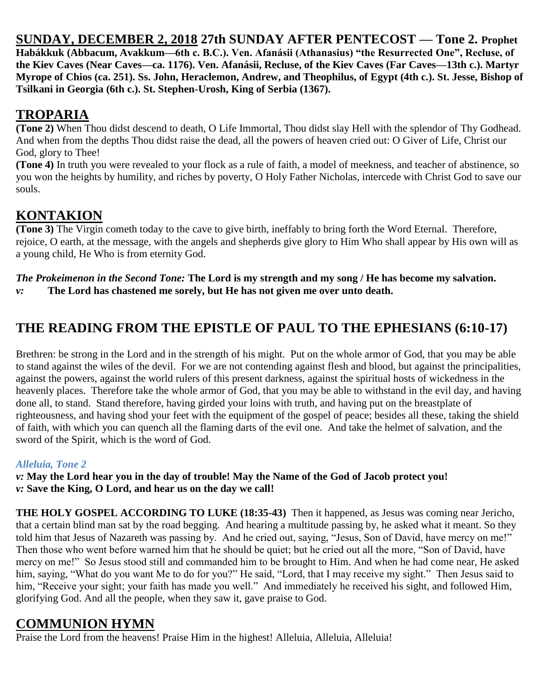**SUNDAY, DECEMBER 2, 2018 27th SUNDAY AFTER PENTECOST — Tone 2. Prophet Habákkuk (Abbacum, Avakkum—6th c. B.C.). Ven. Afanásii (Athanasius) "the Resurrected One", Recluse, of the Kiev Caves (Near Caves—ca. 1176). Ven. Afanásii, Recluse, of the Kiev Caves (Far Caves—13th c.). Martyr Myrope of Chios (ca. 251). Ss. John, Heraclemon, Andrew, and Theophilus, of Egypt (4th c.). St. Jesse, Bishop of Tsilkani in Georgia (6th c.). St. Stephen-Urosh, King of Serbia (1367).**

### **TROPARIA**

**(Tone 2)** When Thou didst descend to death, O Life Immortal, Thou didst slay Hell with the splendor of Thy Godhead. And when from the depths Thou didst raise the dead, all the powers of heaven cried out: O Giver of Life, Christ our God, glory to Thee!

**(Tone 4)** In truth you were revealed to your flock as a rule of faith, a model of meekness, and teacher of abstinence, so you won the heights by humility, and riches by poverty, O Holy Father Nicholas, intercede with Christ God to save our souls.

### **KONTAKION**

**(Tone 3)** The Virgin cometh today to the cave to give birth, ineffably to bring forth the Word Eternal. Therefore, rejoice, O earth, at the message, with the angels and shepherds give glory to Him Who shall appear by His own will as a young child, He Who is from eternity God.

*The Prokeimenon in the Second Tone:* **The Lord is my strength and my song / He has become my salvation.** *v:* **The Lord has chastened me sorely, but He has not given me over unto death.**

# **THE READING FROM THE EPISTLE OF PAUL TO THE EPHESIANS (6:10-17)**

Brethren: be strong in the Lord and in the strength of his might. Put on the whole armor of God, that you may be able to stand against the wiles of the devil. For we are not contending against flesh and blood, but against the principalities, against the powers, against the world rulers of this present darkness, against the spiritual hosts of wickedness in the heavenly places. Therefore take the whole armor of God, that you may be able to withstand in the evil day, and having done all, to stand. Stand therefore, having girded your loins with truth, and having put on the breastplate of righteousness, and having shod your feet with the equipment of the gospel of peace; besides all these, taking the shield of faith, with which you can quench all the flaming darts of the evil one. And take the helmet of salvation, and the sword of the Spirit, which is the word of God.

#### *Alleluia, Tone 2*

*v:* **May the Lord hear you in the day of trouble! May the Name of the God of Jacob protect you!** *v:* **Save the King, O Lord, and hear us on the day we call!**

**THE HOLY GOSPEL ACCORDING TO LUKE (18:35-43)** Then it happened, as Jesus was coming near Jericho, that a certain blind man sat by the road begging. And hearing a multitude passing by, he asked what it meant. So they told him that Jesus of Nazareth was passing by. And he cried out, saying, "Jesus, Son of David, have mercy on me!" Then those who went before warned him that he should be quiet; but he cried out all the more, "Son of David, have mercy on me!" So Jesus stood still and commanded him to be brought to Him. And when he had come near, He asked him, saying, "What do you want Me to do for you?" He said, "Lord, that I may receive my sight." Then Jesus said to him, "Receive your sight; your faith has made you well." And immediately he received his sight, and followed Him, glorifying God. And all the people, when they saw it, gave praise to God.

### **COMMUNION HYMN**

Praise the Lord from the heavens! Praise Him in the highest! Alleluia, Alleluia, Alleluia!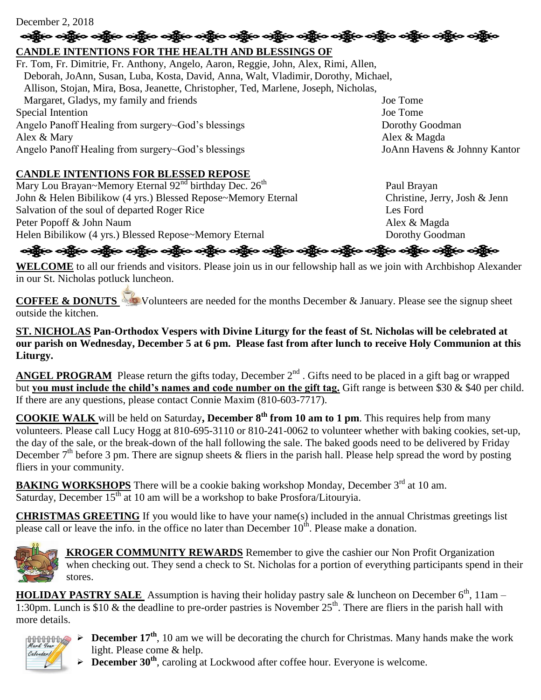#### December 2, 2018

# န္း ကိုင္သို႔ တစ္သို႔ တစ္သို႔ တစ္သို႔ တစ္သို႔ တစ္သို႔ တစ္သို႔ တစ္သို႔ တစ္သို႔ တစ္သို႔ တစ္သို႔ တစ္သို႔ တစ္သို႔

#### **CANDLE INTENTIONS FOR THE HEALTH AND BLESSINGS OF**

Fr. Tom, Fr. Dimitrie, Fr. Anthony, Angelo, Aaron, Reggie, John, Alex, Rimi, Allen, Deborah, JoAnn, Susan, Luba, Kosta, David, Anna, Walt, Vladimir, Dorothy, Michael, Allison, Stojan, Mira, Bosa, Jeanette, Christopher, Ted, Marlene, Joseph, Nicholas, Margaret, Gladys, my family and friends Joe Tome Special Intention Joe Tome Angelo Panoff Healing from surgery~God's blessings Dorothy Goodman Alex & Mary Alex & Magda Angelo Panoff Healing from surgery~God's blessings JoAnn Havens & Johnny Kantor

#### **CANDLE INTENTIONS FOR BLESSED REPOSE**

Mary Lou Brayan~Memory Eternal  $92<sup>nd</sup>$  birthday Dec.  $26<sup>th</sup>$  Paul Brayan John & Helen Bibilikow (4 yrs.) Blessed Repose~Memory Eternal Christine, Jerry, Josh & Jenn Salvation of the soul of departed Roger Rice Les Ford Peter Popoff & John Naum Alex & Magda Helen Bibilikow (4 yrs.) Blessed Repose~Memory Eternal Dorothy Goodman

### ခရွိက ခရွိက ခရွိက ခရွိက အိုင်း အိုင်း ခရွိက ခရွိက ခရွိက ခရွိက ခရွိက ခရွိက ခရွိက ခရွိက ခရွိက ခရွိက

**WELCOME** to all our friends and visitors. Please join us in our fellowship hall as we join with Archbishop Alexander in our St. Nicholas potluck luncheon.

**COFFEE & DONUTS** Volunteers are needed for the months December & January. Please see the signup sheet outside the kitchen.

**ST. NICHOLAS Pan-Orthodox Vespers with Divine Liturgy for the feast of St. Nicholas will be celebrated at our parish on Wednesday, December 5 at 6 pm. Please fast from after lunch to receive Holy Communion at this Liturgy.**

ANGEL PROGRAM Please return the gifts today, December 2<sup>nd</sup>. Gifts need to be placed in a gift bag or wrapped but **you must include the child's names and code number on the gift tag.** Gift range is between \$30 & \$40 per child. If there are any questions, please contact Connie Maxim (810-603-7717).

**COOKIE WALK** will be held on Saturday**, December 8th from 10 am to 1 pm**. This requires help from many volunteers. Please call Lucy Hogg at 810-695-3110 or 810-241-0062 to volunteer whether with baking cookies, set-up, the day of the sale, or the break-down of the hall following the sale. The baked goods need to be delivered by Friday December  $7<sup>th</sup>$  before 3 pm. There are signup sheets & fliers in the parish hall. Please help spread the word by posting fliers in your community.

**BAKING WORKSHOPS** There will be a cookie baking workshop Monday, December 3<sup>rd</sup> at 10 am. Saturday, December  $15<sup>th</sup>$  at 10 am will be a workshop to bake Prosfora/Litouryia.

**CHRISTMAS GREETING** If you would like to have your name(s) included in the annual Christmas greetings list please call or leave the info. in the office no later than December  $10^{th}$ . Please make a donation.



 **KROGER COMMUNITY REWARDS** Remember to give the cashier our Non Profit Organization when checking out. They send a check to St. Nicholas for a portion of everything participants spend in their stores.

**HOLIDAY PASTRY SALE** Assumption is having their holiday pastry sale & luncheon on December  $6<sup>th</sup>$ , 11am – 1:30pm. Lunch is \$10  $\&$  the deadline to pre-order pastries is November  $25^{th}$ . There are fliers in the parish hall with more details.



- **December 17<sup>th</sup>**, 10 am we will be decorating the church for Christmas. Many hands make the work light. Please come & help.
	- **December 30th**, caroling at Lockwood after coffee hour. Everyone is welcome.